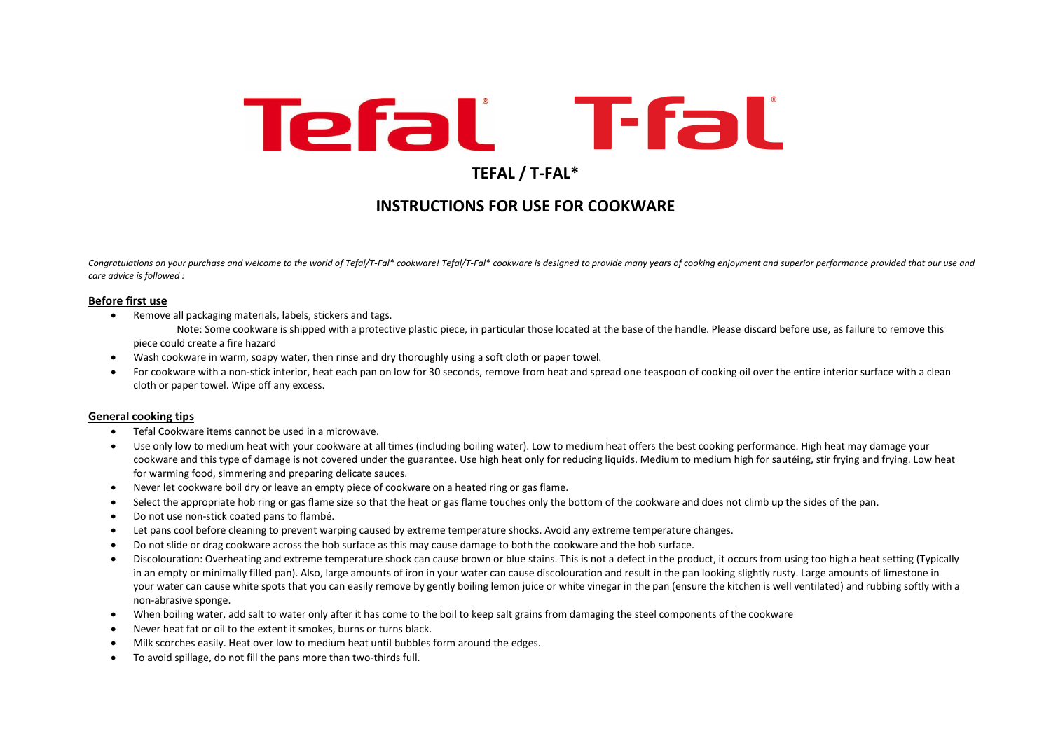# **Tefal** T-fal

# **TEFAL / T-FAL\***

# **INSTRUCTIONS FOR USE FOR COOKWARE**

Congratulations on your purchase and welcome to the world of Tefal/T-Fal\* cookware! Tefal/T-Fal\* cookware is designed to provide many years of cooking enjoyment and superior performance provided that our use and *care advice is followed :* 

### **Before first use**

• Remove all packaging materials, labels, stickers and tags.

Note: Some cookware is shipped with a protective plastic piece, in particular those located at the base of the handle. Please discard before use, as failure to remove this piece could create a fire hazard

- Wash cookware in warm, soapy water, then rinse and dry thoroughly using a soft cloth or paper towel.
- For cookware with a non-stick interior, heat each pan on low for 30 seconds, remove from heat and spread one teaspoon of cooking oil over the entire interior surface with a clean cloth or paper towel. Wipe off any excess.

# **General cooking tips**

- Tefal Cookware items cannot be used in a microwave.
- Use only low to medium heat with your cookware at all times (including boiling water). Low to medium heat offers the best cooking performance. High heat may damage your cookware and this type of damage is not covered under the guarantee. Use high heat only for reducing liquids. Medium to medium high for sautéing, stir frying and frying. Low heat for warming food, simmering and preparing delicate sauces.
- Never let cookware boil dry or leave an empty piece of cookware on a heated ring or gas flame.
- Select the appropriate hob ring or gas flame size so that the heat or gas flame touches only the bottom of the cookware and does not climb up the sides of the pan.
- Do not use non-stick coated pans to flambé.
- Let pans cool before cleaning to prevent warping caused by extreme temperature shocks. Avoid any extreme temperature changes.
- Do not slide or drag cookware across the hob surface as this may cause damage to both the cookware and the hob surface.
- Discolouration: Overheating and extreme temperature shock can cause brown or blue stains. This is not a defect in the product, it occurs from using too high a heat setting (Typically in an empty or minimally filled pan). Also, large amounts of iron in your water can cause discolouration and result in the pan looking slightly rusty. Large amounts of limestone in your water can cause white spots that you can easily remove by gently boiling lemon juice or white vinegar in the pan (ensure the kitchen is well ventilated) and rubbing softly with a non-abrasive sponge.
- When boiling water, add salt to water only after it has come to the boil to keep salt grains from damaging the steel components of the cookware
- Never heat fat or oil to the extent it smokes, burns or turns black.
- Milk scorches easily. Heat over low to medium heat until bubbles form around the edges.
- To avoid spillage, do not fill the pans more than two-thirds full.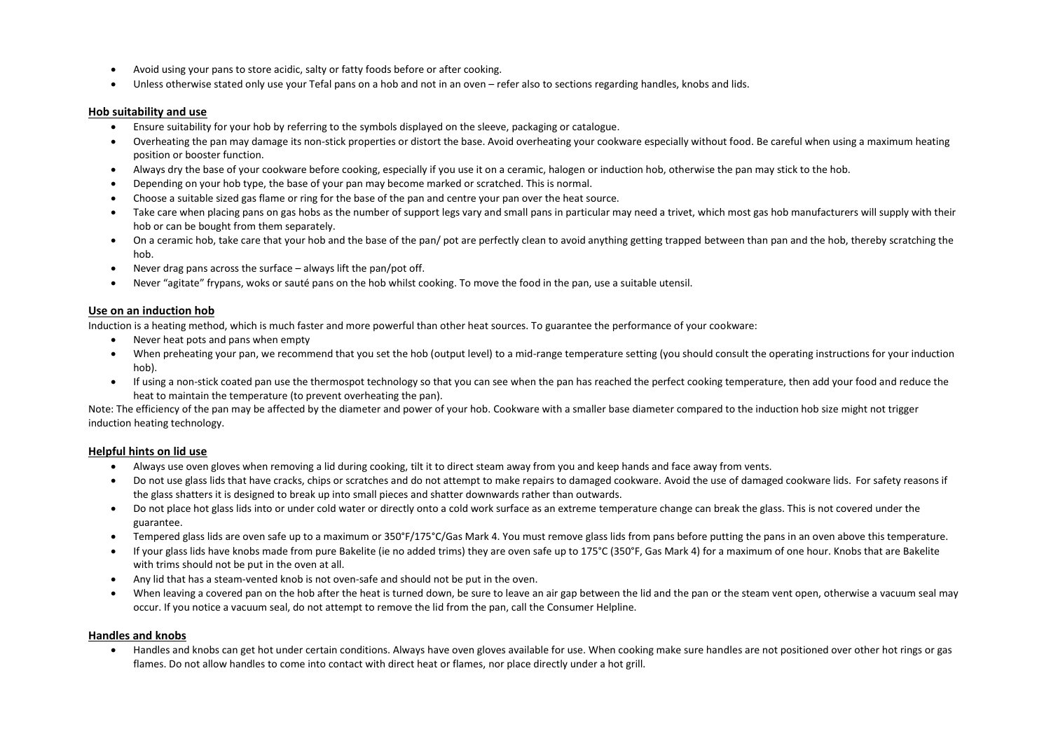- Avoid using your pans to store acidic, salty or fatty foods before or after cooking.
- Unless otherwise stated only use your Tefal pans on a hob and not in an oven refer also to sections regarding handles, knobs and lids.

#### **Hob suitability and use**

- Ensure suitability for your hob by referring to the symbols displayed on the sleeve, packaging or catalogue.
- Overheating the pan may damage its non-stick properties or distort the base. Avoid overheating your cookware especially without food. Be careful when using a maximum heating position or booster function.
- Always dry the base of your cookware before cooking, especially if you use it on a ceramic, halogen or induction hob, otherwise the pan may stick to the hob.
- Depending on your hob type, the base of your pan may become marked or scratched. This is normal.
- Choose a suitable sized gas flame or ring for the base of the pan and centre your pan over the heat source.
- Take care when placing pans on gas hobs as the number of support legs vary and small pans in particular may need a trivet, which most gas hob manufacturers will supply with their hob or can be bought from them separately.
- On a ceramic hob, take care that your hob and the base of the pan/ pot are perfectly clean to avoid anything getting trapped between than pan and the hob, thereby scratching the hob.
- Never drag pans across the surface always lift the pan/pot off.
- Never "agitate" frypans, woks or sauté pans on the hob whilst cooking. To move the food in the pan, use a suitable utensil.

### **Use on an induction hob**

Induction is a heating method, which is much faster and more powerful than other heat sources. To guarantee the performance of your cookware:

- Never heat pots and pans when empty
- When preheating your pan, we recommend that you set the hob (output level) to a mid-range temperature setting (you should consult the operating instructions for your induction hob).
- If using a non-stick coated pan use the thermospot technology so that you can see when the pan has reached the perfect cooking temperature, then add your food and reduce the heat to maintain the temperature (to prevent overheating the pan).

Note: The efficiency of the pan may be affected by the diameter and power of your hob. Cookware with a smaller base diameter compared to the induction hob size might not trigger induction heating technology.

# **Helpful hints on lid use**

- Always use oven gloves when removing a lid during cooking, tilt it to direct steam away from you and keep hands and face away from vents.
- Do not use glass lids that have cracks, chips or scratches and do not attempt to make repairs to damaged cookware. Avoid the use of damaged cookware lids. For safety reasons if the glass shatters it is designed to break up into small pieces and shatter downwards rather than outwards.
- Do not place hot glass lids into or under cold water or directly onto a cold work surface as an extreme temperature change can break the glass. This is not covered under the guarantee.
- Tempered glass lids are oven safe up to a maximum or 350°F/175°C/Gas Mark 4. You must remove glass lids from pans before putting the pans in an oven above this temperature.
- If your glass lids have knobs made from pure Bakelite (ie no added trims) they are oven safe up to 175°C (350°F, Gas Mark 4) for a maximum of one hour. Knobs that are Bakelite with trims should not be put in the oven at all.
- Any lid that has a steam-vented knob is not oven-safe and should not be put in the oven.
- When leaving a covered pan on the hob after the heat is turned down, be sure to leave an air gap between the lid and the pan or the steam vent open, otherwise a vacuum seal may occur. If you notice a vacuum seal, do not attempt to remove the lid from the pan, call the Consumer Helpline.

### **Handles and knobs**

• Handles and knobs can get hot under certain conditions. Always have oven gloves available for use. When cooking make sure handles are not positioned over other hot rings or gas flames. Do not allow handles to come into contact with direct heat or flames, nor place directly under a hot grill.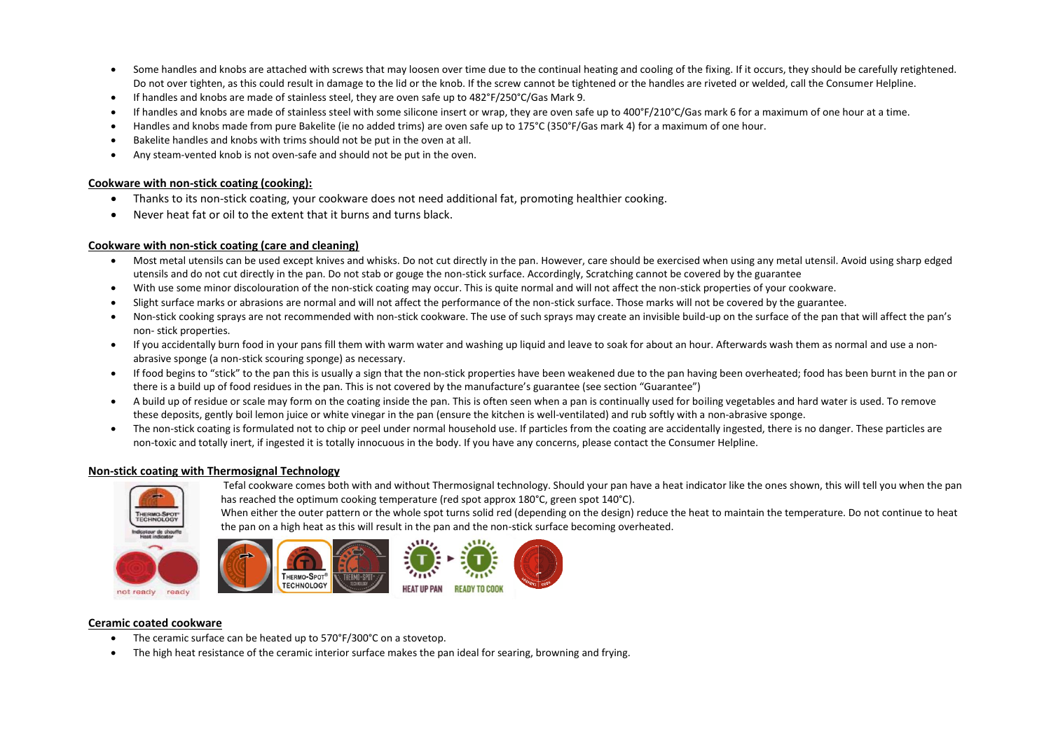- Some handles and knobs are attached with screws that may loosen over time due to the continual heating and cooling of the fixing. If it occurs, they should be carefully retightened. Do not over tighten, as this could result in damage to the lid or the knob. If the screw cannot be tightened or the handles are riveted or welded, call the Consumer Helpline.
- If handles and knobs are made of stainless steel, they are oven safe up to 482°F/250°C/Gas Mark 9.
- If handles and knobs are made of stainless steel with some silicone insert or wrap, they are oven safe up to 400°F/210°C/Gas mark 6 for a maximum of one hour at a time.
- Handles and knobs made from pure Bakelite (ie no added trims) are oven safe up to 175°C (350°F/Gas mark 4) for a maximum of one hour.
- Bakelite handles and knobs with trims should not be put in the oven at all.
- Any steam-vented knob is not oven-safe and should not be put in the oven.

# **Cookware with non-stick coating (cooking):**

- Thanks to its non-stick coating, your cookware does not need additional fat, promoting healthier cooking.
- Never heat fat or oil to the extent that it burns and turns black.

# **Cookware with non-stick coating (care and cleaning)**

- Most metal utensils can be used except knives and whisks. Do not cut directly in the pan. However, care should be exercised when using any metal utensil. Avoid using sharp edged utensils and do not cut directly in the pan. Do not stab or gouge the non-stick surface. Accordingly, Scratching cannot be covered by the guarantee
- With use some minor discolouration of the non-stick coating may occur. This is quite normal and will not affect the non-stick properties of your cookware.
- Slight surface marks or abrasions are normal and will not affect the performance of the non-stick surface. Those marks will not be covered by the guarantee.
- Non-stick cooking sprays are not recommended with non-stick cookware. The use of such sprays may create an invisible build-up on the surface of the pan that will affect the pan's non- stick properties.
- If you accidentally burn food in your pans fill them with warm water and washing up liquid and leave to soak for about an hour. Afterwards wash them as normal and use a nonabrasive sponge (a non-stick scouring sponge) as necessary.
- If food begins to "stick" to the pan this is usually a sign that the non-stick properties have been weakened due to the pan having been overheated; food has been burnt in the pan or there is a build up of food residues in the pan. This is not covered by the manufacture's guarantee (see section "Guarantee")
- A build up of residue or scale may form on the coating inside the pan. This is often seen when a pan is continually used for boiling vegetables and hard water is used. To remove these deposits, gently boil lemon juice or white vinegar in the pan (ensure the kitchen is well-ventilated) and rub softly with a non-abrasive sponge.
- The non-stick coating is formulated not to chip or peel under normal household use. If particles from the coating are accidentally ingested, there is no danger. These particles are non-toxic and totally inert, if ingested it is totally innocuous in the body. If you have any concerns, please contact the Consumer Helpline.

Tefal cookware comes both with and without Thermosignal technology. Should your pan have a heat indicator like the ones shown, this will tell you when the pan

# **Non-stick coating with Thermosignal Technology**





has reached the optimum cooking temperature (red spot approx 180°C, green spot 140°C).



# **Ceramic coated cookware**

- The ceramic surface can be heated up to 570°F/300°C on a stovetop.
- The high heat resistance of the ceramic interior surface makes the pan ideal for searing, browning and frying.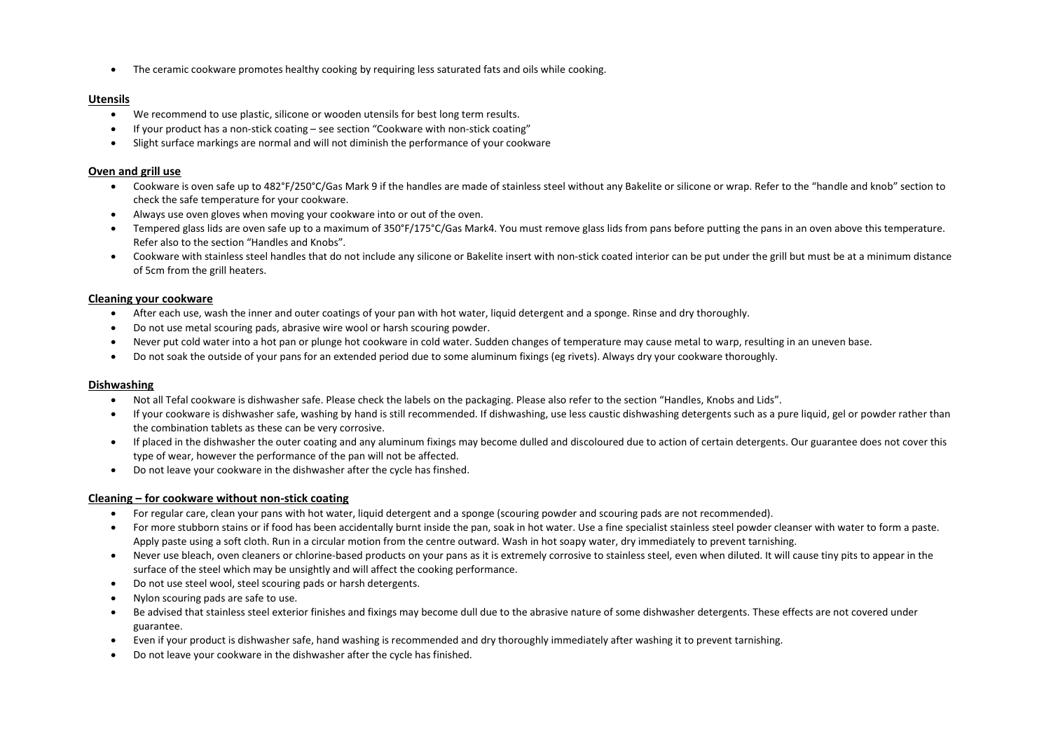• The ceramic cookware promotes healthy cooking by requiring less saturated fats and oils while cooking.

## **Utensils**

- We recommend to use plastic, silicone or wooden utensils for best long term results.
- If your product has a non-stick coating see section "Cookware with non-stick coating"
- Slight surface markings are normal and will not diminish the performance of your cookware

# **Oven and grill use**

- Cookware is oven safe up to 482°F/250°C/Gas Mark 9 if the handles are made of stainless steel without any Bakelite or silicone or wrap. Refer to the "handle and knob" section to check the safe temperature for your cookware.
- Always use oven gloves when moving your cookware into or out of the oven.
- Tempered glass lids are oven safe up to a maximum of 350°F/175°C/Gas Mark4. You must remove glass lids from pans before putting the pans in an oven above this temperature. Refer also to the section "Handles and Knobs".
- Cookware with stainless steel handles that do not include any silicone or Bakelite insert with non-stick coated interior can be put under the grill but must be at a minimum distance of 5cm from the grill heaters.

### **Cleaning your cookware**

- After each use, wash the inner and outer coatings of your pan with hot water, liquid detergent and a sponge. Rinse and dry thoroughly.
- Do not use metal scouring pads, abrasive wire wool or harsh scouring powder.
- Never put cold water into a hot pan or plunge hot cookware in cold water. Sudden changes of temperature may cause metal to warp, resulting in an uneven base.
- Do not soak the outside of your pans for an extended period due to some aluminum fixings (eg rivets). Always dry your cookware thoroughly.

#### **Dishwashing**

- Not all Tefal cookware is dishwasher safe. Please check the labels on the packaging. Please also refer to the section "Handles, Knobs and Lids".
- If your cookware is dishwasher safe, washing by hand is still recommended. If dishwashing, use less caustic dishwashing detergents such as a pure liquid, gel or powder rather than the combination tablets as these can be very corrosive.
- If placed in the dishwasher the outer coating and any aluminum fixings may become dulled and discoloured due to action of certain detergents. Our guarantee does not cover this type of wear, however the performance of the pan will not be affected.
- Do not leave your cookware in the dishwasher after the cycle has finshed.

# **Cleaning – for cookware without non-stick coating**

- For regular care, clean your pans with hot water, liquid detergent and a sponge (scouring powder and scouring pads are not recommended).
- For more stubborn stains or if food has been accidentally burnt inside the pan, soak in hot water. Use a fine specialist stainless steel powder cleanser with water to form a paste. Apply paste using a soft cloth. Run in a circular motion from the centre outward. Wash in hot soapy water, dry immediately to prevent tarnishing.
- Never use bleach, oven cleaners or chlorine-based products on your pans as it is extremely corrosive to stainless steel, even when diluted. It will cause tiny pits to appear in the surface of the steel which may be unsightly and will affect the cooking performance.
- Do not use steel wool, steel scouring pads or harsh detergents.
- Nylon scouring pads are safe to use.
- Be advised that stainless steel exterior finishes and fixings may become dull due to the abrasive nature of some dishwasher detergents. These effects are not covered under guarantee.
- Even if your product is dishwasher safe, hand washing is recommended and dry thoroughly immediately after washing it to prevent tarnishing.
- Do not leave your cookware in the dishwasher after the cycle has finished.